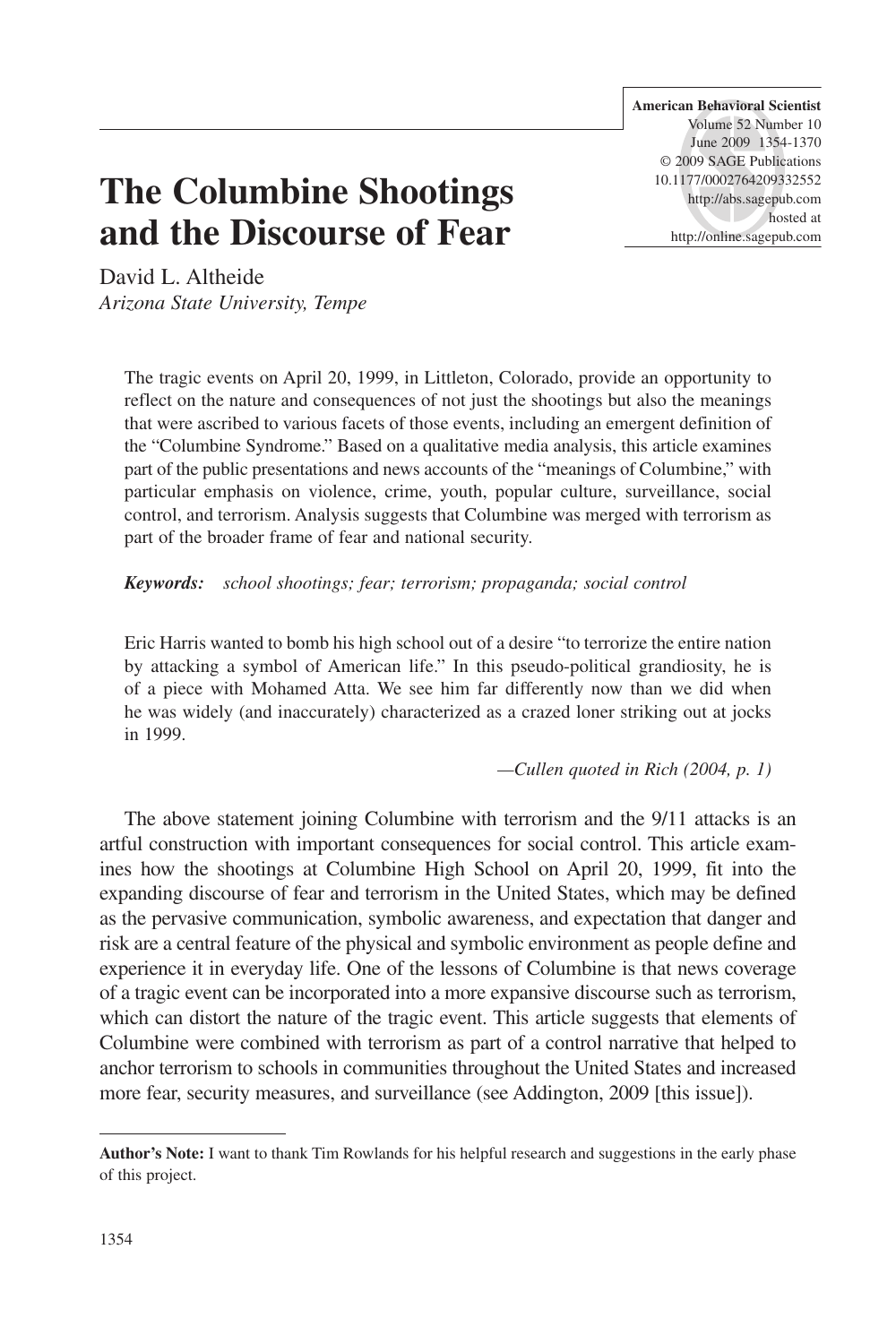**American Behavioral Scientist** Volume 52 Number 10 June 2009 1354-1370 © 2009 SAGE Publications 10.1177/0002764209332552 http://abs.sagepub.com hosted at http://online.sagepub.com

# **The Columbine Shootings and the Discourse of Fear**

David L. Altheide *Arizona State University, Tempe*

The tragic events on April 20, 1999, in Littleton, Colorado, provide an opportunity to reflect on the nature and consequences of not just the shootings but also the meanings that were ascribed to various facets of those events, including an emergent definition of the "Columbine Syndrome." Based on a qualitative media analysis, this article examines part of the public presentations and news accounts of the "meanings of Columbine," with particular emphasis on violence, crime, youth, popular culture, surveillance, social control, and terrorism. Analysis suggests that Columbine was merged with terrorism as part of the broader frame of fear and national security.

#### *Keywords: school shootings; fear; terrorism; propaganda; social control*

Eric Harris wanted to bomb his high school out of a desire "to terrorize the entire nation by attacking a symbol of American life." In this pseudo-political grandiosity, he is of a piece with Mohamed Atta. We see him far differently now than we did when he was widely (and inaccurately) characterized as a crazed loner striking out at jocks in 1999.

*—Cullen quoted in Rich (2004, p. 1)*

The above statement joining Columbine with terrorism and the 9/11 attacks is an artful construction with important consequences for social control. This article examines how the shootings at Columbine High School on April 20, 1999, fit into the expanding discourse of fear and terrorism in the United States, which may be defined as the pervasive communication, symbolic awareness, and expectation that danger and risk are a central feature of the physical and symbolic environment as people define and experience it in everyday life. One of the lessons of Columbine is that news coverage of a tragic event can be incorporated into a more expansive discourse such as terrorism, which can distort the nature of the tragic event. This article suggests that elements of Columbine were combined with terrorism as part of a control narrative that helped to anchor terrorism to schools in communities throughout the United States and increased more fear, security measures, and surveillance (see Addington, 2009 [this issue]).

**Author's Note:** I want to thank Tim Rowlands for his helpful research and suggestions in the early phase of this project.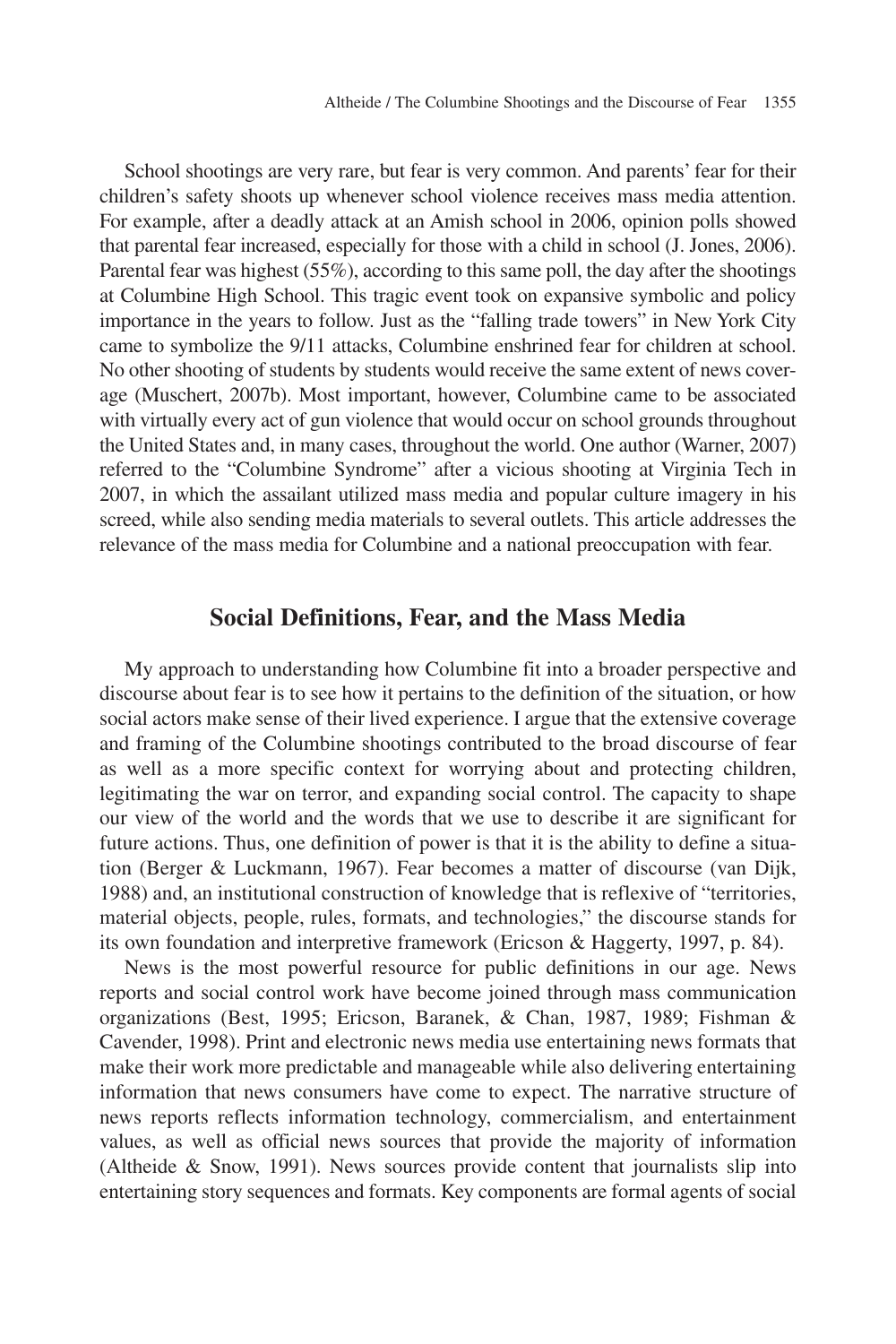School shootings are very rare, but fear is very common. And parents' fear for their children's safety shoots up whenever school violence receives mass media attention. For example, after a deadly attack at an Amish school in 2006, opinion polls showed that parental fear increased, especially for those with a child in school (J. Jones, 2006). Parental fear was highest (55%), according to this same poll, the day after the shootings at Columbine High School. This tragic event took on expansive symbolic and policy importance in the years to follow. Just as the "falling trade towers" in New York City came to symbolize the 9/11 attacks, Columbine enshrined fear for children at school. No other shooting of students by students would receive the same extent of news coverage (Muschert, 2007b). Most important, however, Columbine came to be associated with virtually every act of gun violence that would occur on school grounds throughout the United States and, in many cases, throughout the world. One author (Warner, 2007) referred to the "Columbine Syndrome" after a vicious shooting at Virginia Tech in 2007, in which the assailant utilized mass media and popular culture imagery in his screed, while also sending media materials to several outlets. This article addresses the relevance of the mass media for Columbine and a national preoccupation with fear.

#### **Social Definitions, Fear, and the Mass Media**

My approach to understanding how Columbine fit into a broader perspective and discourse about fear is to see how it pertains to the definition of the situation, or how social actors make sense of their lived experience. I argue that the extensive coverage and framing of the Columbine shootings contributed to the broad discourse of fear as well as a more specific context for worrying about and protecting children, legitimating the war on terror, and expanding social control. The capacity to shape our view of the world and the words that we use to describe it are significant for future actions. Thus, one definition of power is that it is the ability to define a situation (Berger & Luckmann, 1967). Fear becomes a matter of discourse (van Dijk, 1988) and, an institutional construction of knowledge that is reflexive of "territories, material objects, people, rules, formats, and technologies," the discourse stands for its own foundation and interpretive framework (Ericson & Haggerty, 1997, p. 84).

News is the most powerful resource for public definitions in our age. News reports and social control work have become joined through mass communication organizations (Best, 1995; Ericson, Baranek, & Chan, 1987, 1989; Fishman & Cavender, 1998). Print and electronic news media use entertaining news formats that make their work more predictable and manageable while also delivering entertaining information that news consumers have come to expect. The narrative structure of news reports reflects information technology, commercialism, and entertainment values, as well as official news sources that provide the majority of information (Altheide & Snow, 1991). News sources provide content that journalists slip into entertaining story sequences and formats. Key components are formal agents of social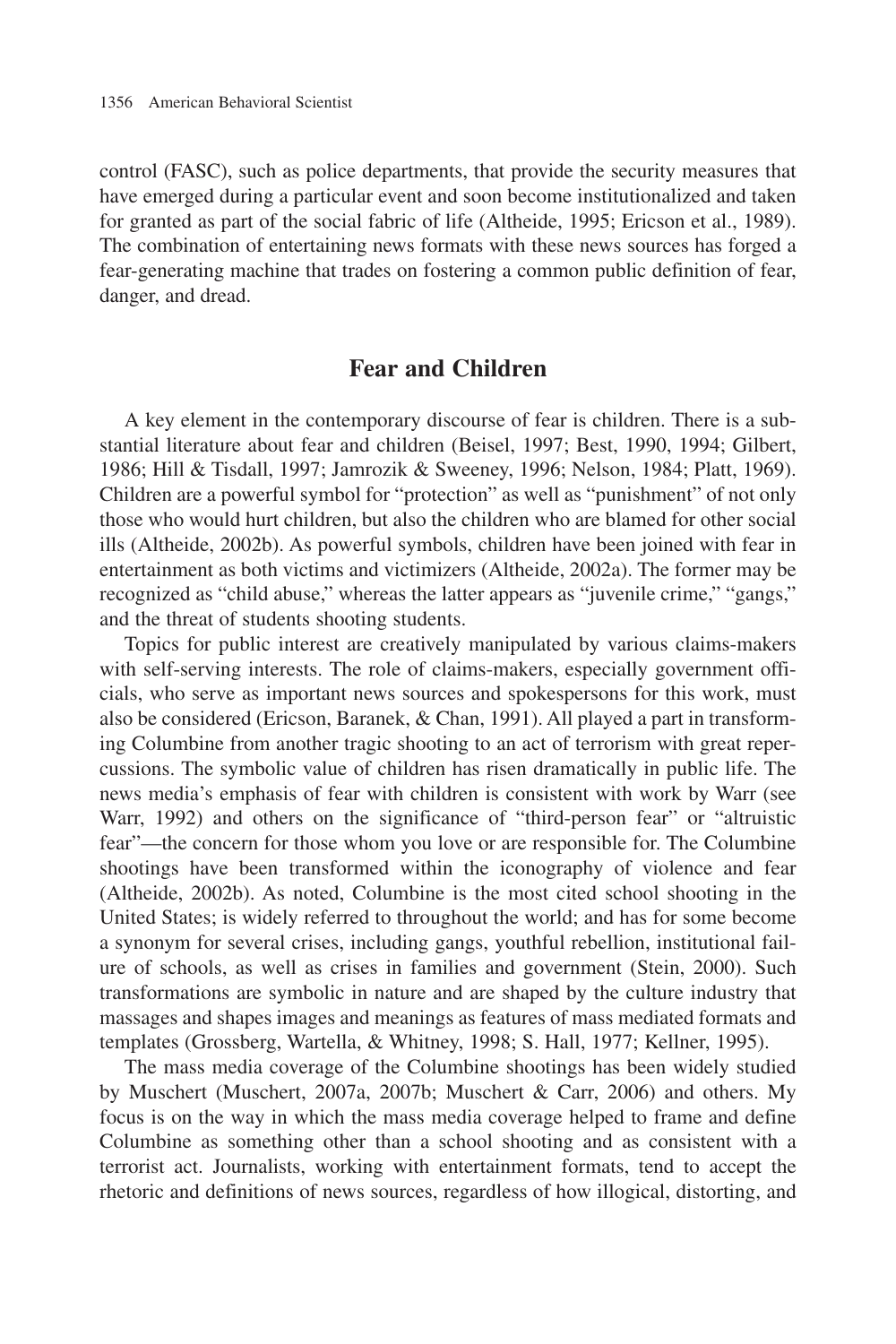control (FASC), such as police departments, that provide the security measures that have emerged during a particular event and soon become institutionalized and taken for granted as part of the social fabric of life (Altheide, 1995; Ericson et al., 1989). The combination of entertaining news formats with these news sources has forged a fear-generating machine that trades on fostering a common public definition of fear, danger, and dread.

## **Fear and Children**

A key element in the contemporary discourse of fear is children. There is a substantial literature about fear and children (Beisel, 1997; Best, 1990, 1994; Gilbert, 1986; Hill & Tisdall, 1997; Jamrozik & Sweeney, 1996; Nelson, 1984; Platt, 1969). Children are a powerful symbol for "protection" as well as "punishment" of not only those who would hurt children, but also the children who are blamed for other social ills (Altheide, 2002b). As powerful symbols, children have been joined with fear in entertainment as both victims and victimizers (Altheide, 2002a). The former may be recognized as "child abuse," whereas the latter appears as "juvenile crime," "gangs," and the threat of students shooting students.

Topics for public interest are creatively manipulated by various claims-makers with self-serving interests. The role of claims-makers, especially government officials, who serve as important news sources and spokespersons for this work, must also be considered (Ericson, Baranek, & Chan, 1991). All played a part in transforming Columbine from another tragic shooting to an act of terrorism with great repercussions. The symbolic value of children has risen dramatically in public life. The news media's emphasis of fear with children is consistent with work by Warr (see Warr, 1992) and others on the significance of "third-person fear" or "altruistic fear"—the concern for those whom you love or are responsible for. The Columbine shootings have been transformed within the iconography of violence and fear (Altheide, 2002b). As noted, Columbine is the most cited school shooting in the United States; is widely referred to throughout the world; and has for some become a synonym for several crises, including gangs, youthful rebellion, institutional failure of schools, as well as crises in families and government (Stein, 2000). Such transformations are symbolic in nature and are shaped by the culture industry that massages and shapes images and meanings as features of mass mediated formats and templates (Grossberg, Wartella, & Whitney, 1998; S. Hall, 1977; Kellner, 1995).

The mass media coverage of the Columbine shootings has been widely studied by Muschert (Muschert, 2007a, 2007b; Muschert & Carr, 2006) and others. My focus is on the way in which the mass media coverage helped to frame and define Columbine as something other than a school shooting and as consistent with a terrorist act. Journalists, working with entertainment formats, tend to accept the rhetoric and definitions of news sources, regardless of how illogical, distorting, and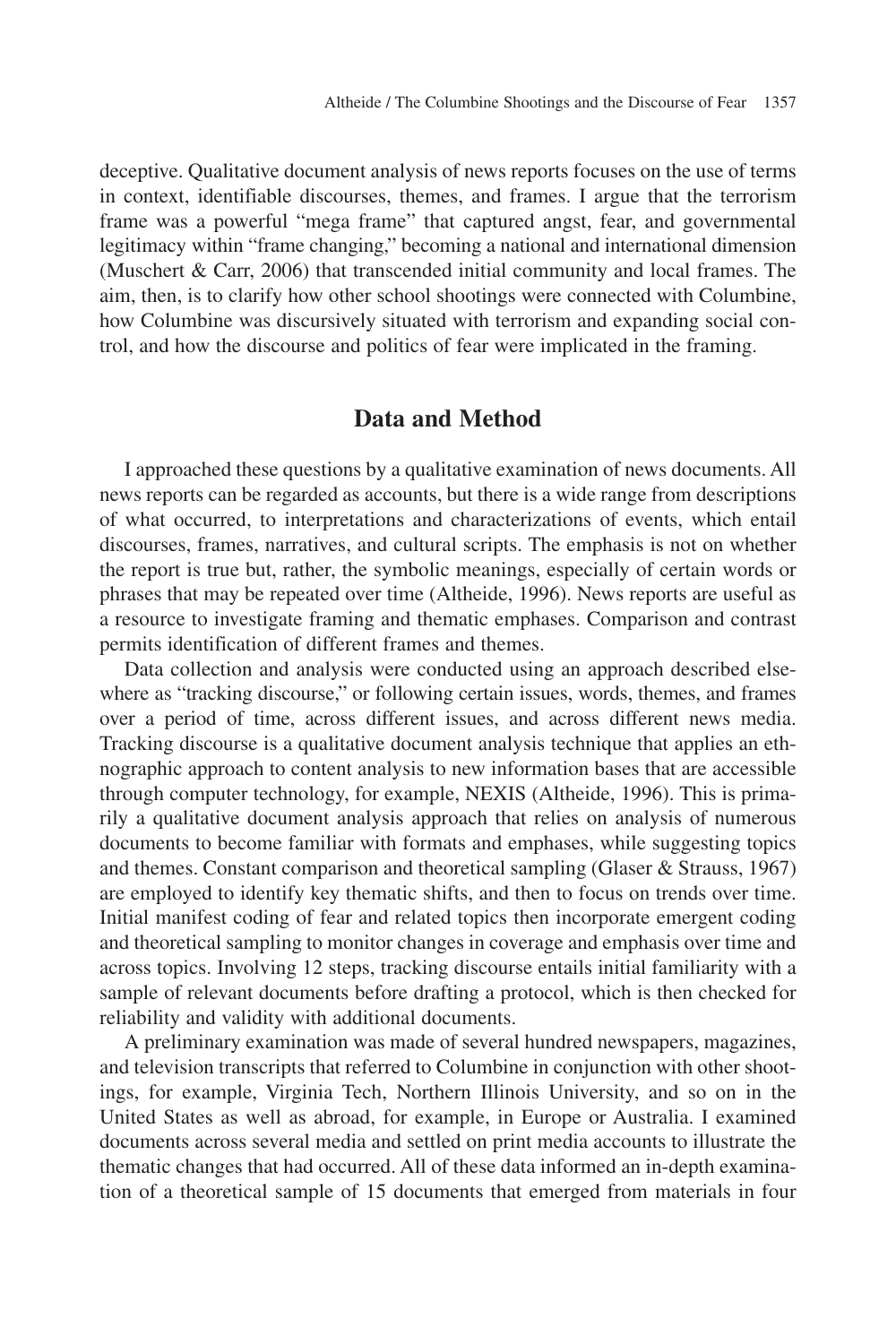deceptive. Qualitative document analysis of news reports focuses on the use of terms in context, identifiable discourses, themes, and frames. I argue that the terrorism frame was a powerful "mega frame" that captured angst, fear, and governmental legitimacy within "frame changing," becoming a national and international dimension (Muschert & Carr, 2006) that transcended initial community and local frames. The aim, then, is to clarify how other school shootings were connected with Columbine, how Columbine was discursively situated with terrorism and expanding social control, and how the discourse and politics of fear were implicated in the framing.

# **Data and Method**

I approached these questions by a qualitative examination of news documents. All news reports can be regarded as accounts, but there is a wide range from descriptions of what occurred, to interpretations and characterizations of events, which entail discourses, frames, narratives, and cultural scripts. The emphasis is not on whether the report is true but, rather, the symbolic meanings, especially of certain words or phrases that may be repeated over time (Altheide, 1996). News reports are useful as a resource to investigate framing and thematic emphases. Comparison and contrast permits identification of different frames and themes.

Data collection and analysis were conducted using an approach described elsewhere as "tracking discourse," or following certain issues, words, themes, and frames over a period of time, across different issues, and across different news media. Tracking discourse is a qualitative document analysis technique that applies an ethnographic approach to content analysis to new information bases that are accessible through computer technology, for example, NEXIS (Altheide, 1996). This is primarily a qualitative document analysis approach that relies on analysis of numerous documents to become familiar with formats and emphases, while suggesting topics and themes. Constant comparison and theoretical sampling (Glaser & Strauss, 1967) are employed to identify key thematic shifts, and then to focus on trends over time. Initial manifest coding of fear and related topics then incorporate emergent coding and theoretical sampling to monitor changes in coverage and emphasis over time and across topics. Involving 12 steps, tracking discourse entails initial familiarity with a sample of relevant documents before drafting a protocol, which is then checked for reliability and validity with additional documents.

A preliminary examination was made of several hundred newspapers, magazines, and television transcripts that referred to Columbine in conjunction with other shootings, for example, Virginia Tech, Northern Illinois University, and so on in the United States as well as abroad, for example, in Europe or Australia. I examined documents across several media and settled on print media accounts to illustrate the thematic changes that had occurred. All of these data informed an in-depth examination of a theoretical sample of 15 documents that emerged from materials in four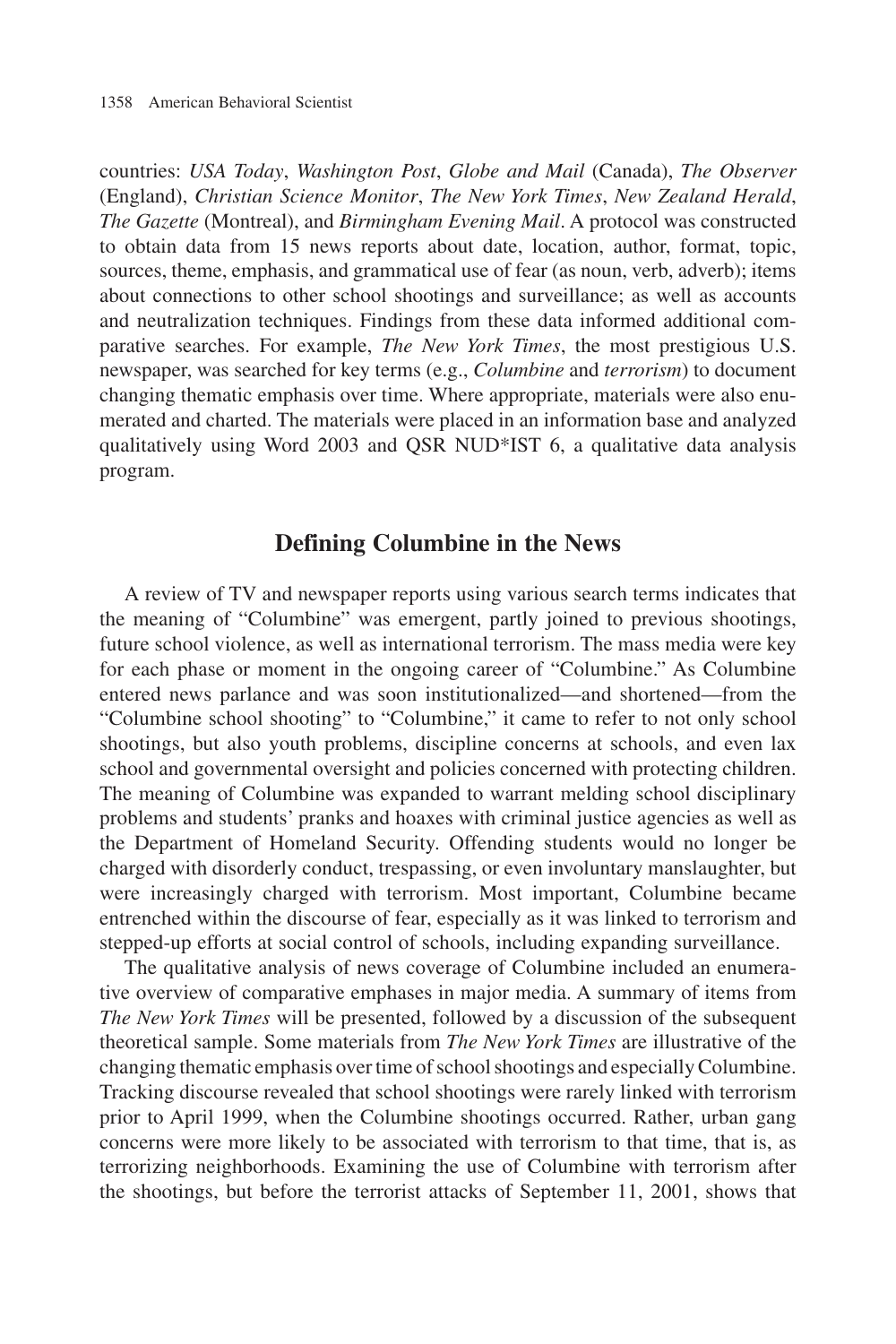countries: *USA Today*, *Washington Post*, *Globe and Mail* (Canada), *The Observer* (England), *Christian Science Monitor*, *The New York Times*, *New Zealand Herald*, *The Gazette* (Montreal), and *Birmingham Evening Mail*. A protocol was constructed to obtain data from 15 news reports about date, location, author, format, topic, sources, theme, emphasis, and grammatical use of fear (as noun, verb, adverb); items about connections to other school shootings and surveillance; as well as accounts and neutralization techniques. Findings from these data informed additional comparative searches. For example, *The New York Times*, the most prestigious U.S. newspaper, was searched for key terms (e.g., *Columbine* and *terrorism*) to document changing thematic emphasis over time. Where appropriate, materials were also enumerated and charted. The materials were placed in an information base and analyzed qualitatively using Word 2003 and QSR NUD\*IST 6, a qualitative data analysis program.

### **Defining Columbine in the News**

A review of TV and newspaper reports using various search terms indicates that the meaning of "Columbine" was emergent, partly joined to previous shootings, future school violence, as well as international terrorism. The mass media were key for each phase or moment in the ongoing career of "Columbine." As Columbine entered news parlance and was soon institutionalized—and shortened—from the "Columbine school shooting" to "Columbine," it came to refer to not only school shootings, but also youth problems, discipline concerns at schools, and even lax school and governmental oversight and policies concerned with protecting children. The meaning of Columbine was expanded to warrant melding school disciplinary problems and students' pranks and hoaxes with criminal justice agencies as well as the Department of Homeland Security. Offending students would no longer be charged with disorderly conduct, trespassing, or even involuntary manslaughter, but were increasingly charged with terrorism. Most important, Columbine became entrenched within the discourse of fear, especially as it was linked to terrorism and stepped-up efforts at social control of schools, including expanding surveillance.

The qualitative analysis of news coverage of Columbine included an enumerative overview of comparative emphases in major media. A summary of items from *The New York Times* will be presented, followed by a discussion of the subsequent theoretical sample. Some materials from *The New York Times* are illustrative of the changing thematic emphasis over time of school shootings and especially Columbine. Tracking discourse revealed that school shootings were rarely linked with terrorism prior to April 1999, when the Columbine shootings occurred. Rather, urban gang concerns were more likely to be associated with terrorism to that time, that is, as terrorizing neighborhoods. Examining the use of Columbine with terrorism after the shootings, but before the terrorist attacks of September 11, 2001, shows that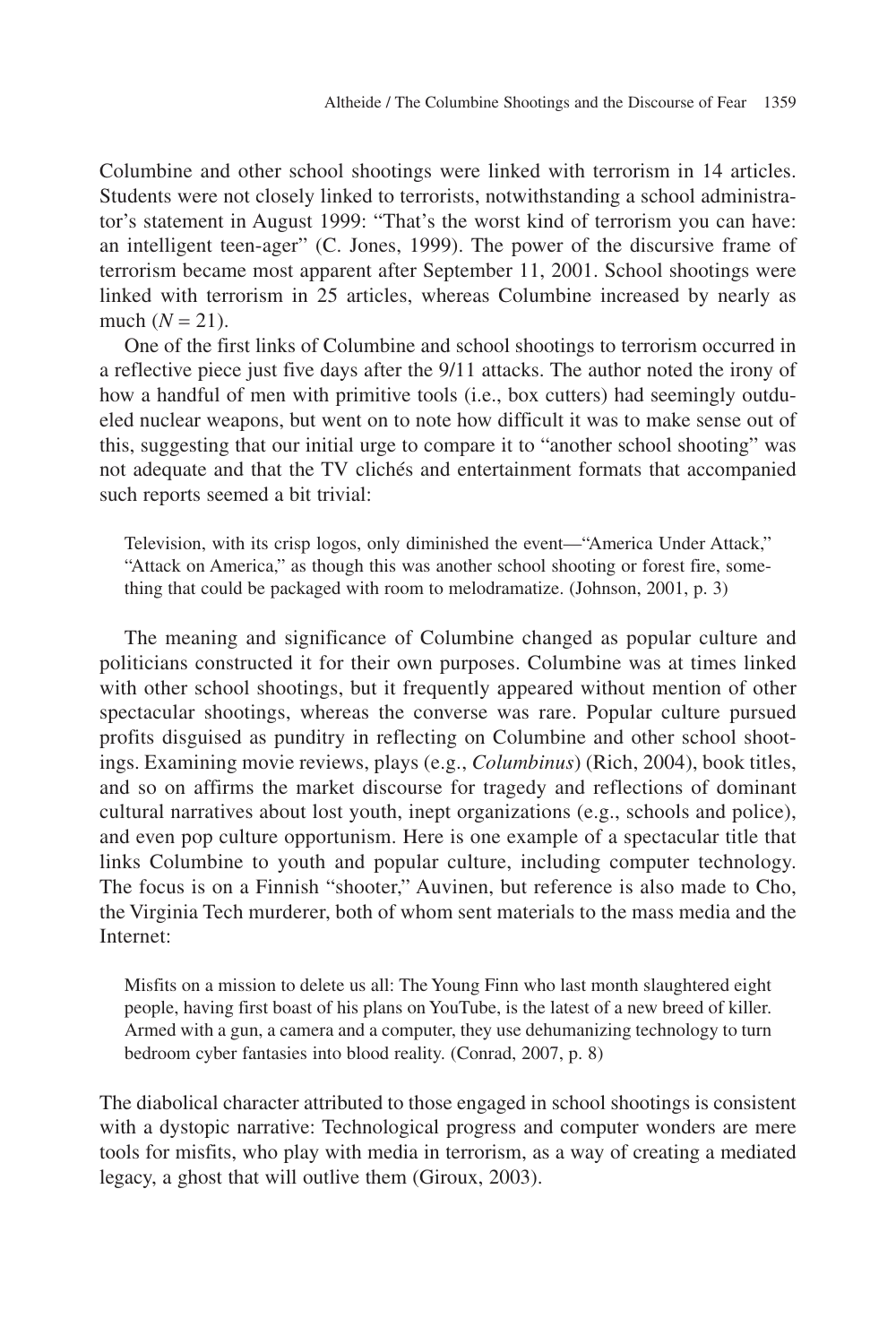Columbine and other school shootings were linked with terrorism in 14 articles. Students were not closely linked to terrorists, notwithstanding a school administrator's statement in August 1999: "That's the worst kind of terrorism you can have: an intelligent teen-ager" (C. Jones, 1999). The power of the discursive frame of terrorism became most apparent after September 11, 2001. School shootings were linked with terrorism in 25 articles, whereas Columbine increased by nearly as much  $(N = 21)$ .

One of the first links of Columbine and school shootings to terrorism occurred in a reflective piece just five days after the 9/11 attacks. The author noted the irony of how a handful of men with primitive tools (i.e., box cutters) had seemingly outdueled nuclear weapons, but went on to note how difficult it was to make sense out of this, suggesting that our initial urge to compare it to "another school shooting" was not adequate and that the TV clichés and entertainment formats that accompanied such reports seemed a bit trivial:

Television, with its crisp logos, only diminished the event—"America Under Attack," "Attack on America," as though this was another school shooting or forest fire, something that could be packaged with room to melodramatize. (Johnson, 2001, p. 3)

The meaning and significance of Columbine changed as popular culture and politicians constructed it for their own purposes. Columbine was at times linked with other school shootings, but it frequently appeared without mention of other spectacular shootings, whereas the converse was rare. Popular culture pursued profits disguised as punditry in reflecting on Columbine and other school shootings. Examining movie reviews, plays (e.g., *Columbinus*) (Rich, 2004), book titles, and so on affirms the market discourse for tragedy and reflections of dominant cultural narratives about lost youth, inept organizations (e.g., schools and police), and even pop culture opportunism. Here is one example of a spectacular title that links Columbine to youth and popular culture, including computer technology. The focus is on a Finnish "shooter," Auvinen, but reference is also made to Cho, the Virginia Tech murderer, both of whom sent materials to the mass media and the Internet:

Misfits on a mission to delete us all: The Young Finn who last month slaughtered eight people, having first boast of his plans on YouTube, is the latest of a new breed of killer. Armed with a gun, a camera and a computer, they use dehumanizing technology to turn bedroom cyber fantasies into blood reality. (Conrad, 2007, p. 8)

The diabolical character attributed to those engaged in school shootings is consistent with a dystopic narrative: Technological progress and computer wonders are mere tools for misfits, who play with media in terrorism, as a way of creating a mediated legacy, a ghost that will outlive them (Giroux, 2003).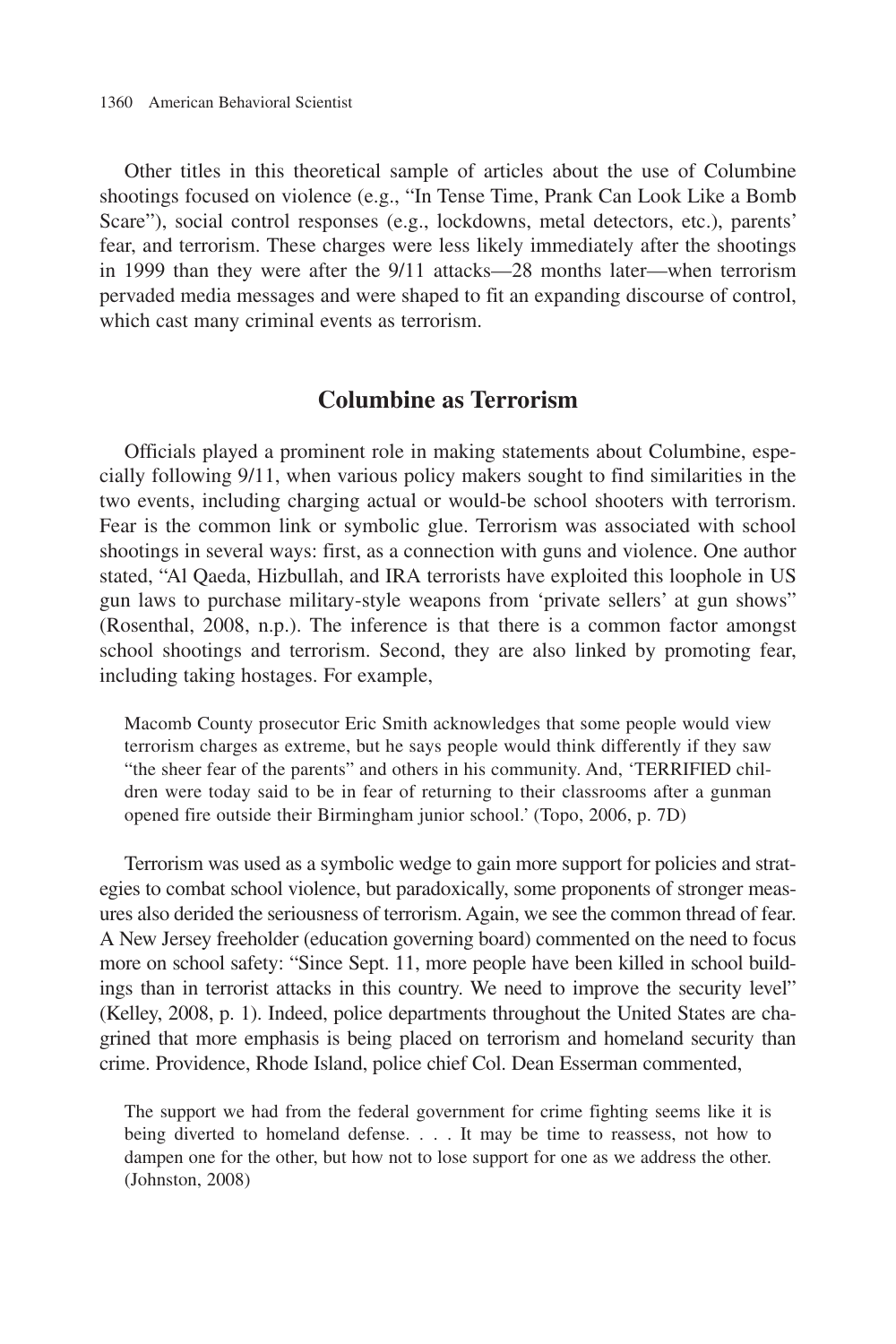Other titles in this theoretical sample of articles about the use of Columbine shootings focused on violence (e.g., "In Tense Time, Prank Can Look Like a Bomb Scare"), social control responses (e.g., lockdowns, metal detectors, etc.), parents' fear, and terrorism. These charges were less likely immediately after the shootings in 1999 than they were after the 9/11 attacks—28 months later—when terrorism pervaded media messages and were shaped to fit an expanding discourse of control, which cast many criminal events as terrorism.

## **Columbine as Terrorism**

Officials played a prominent role in making statements about Columbine, especially following 9/11, when various policy makers sought to find similarities in the two events, including charging actual or would-be school shooters with terrorism. Fear is the common link or symbolic glue. Terrorism was associated with school shootings in several ways: first, as a connection with guns and violence. One author stated, "Al Qaeda, Hizbullah, and IRA terrorists have exploited this loophole in US gun laws to purchase military-style weapons from 'private sellers' at gun shows" (Rosenthal, 2008, n.p.). The inference is that there is a common factor amongst school shootings and terrorism. Second, they are also linked by promoting fear, including taking hostages. For example,

Macomb County prosecutor Eric Smith acknowledges that some people would view terrorism charges as extreme, but he says people would think differently if they saw "the sheer fear of the parents" and others in his community. And, 'TERRIFIED children were today said to be in fear of returning to their classrooms after a gunman opened fire outside their Birmingham junior school.' (Topo, 2006, p. 7D)

Terrorism was used as a symbolic wedge to gain more support for policies and strategies to combat school violence, but paradoxically, some proponents of stronger measures also derided the seriousness of terrorism. Again, we see the common thread of fear. A New Jersey freeholder (education governing board) commented on the need to focus more on school safety: "Since Sept. 11, more people have been killed in school buildings than in terrorist attacks in this country. We need to improve the security level" (Kelley, 2008, p. 1). Indeed, police departments throughout the United States are chagrined that more emphasis is being placed on terrorism and homeland security than crime. Providence, Rhode Island, police chief Col. Dean Esserman commented,

The support we had from the federal government for crime fighting seems like it is being diverted to homeland defense. . . . It may be time to reassess, not how to dampen one for the other, but how not to lose support for one as we address the other. (Johnston, 2008)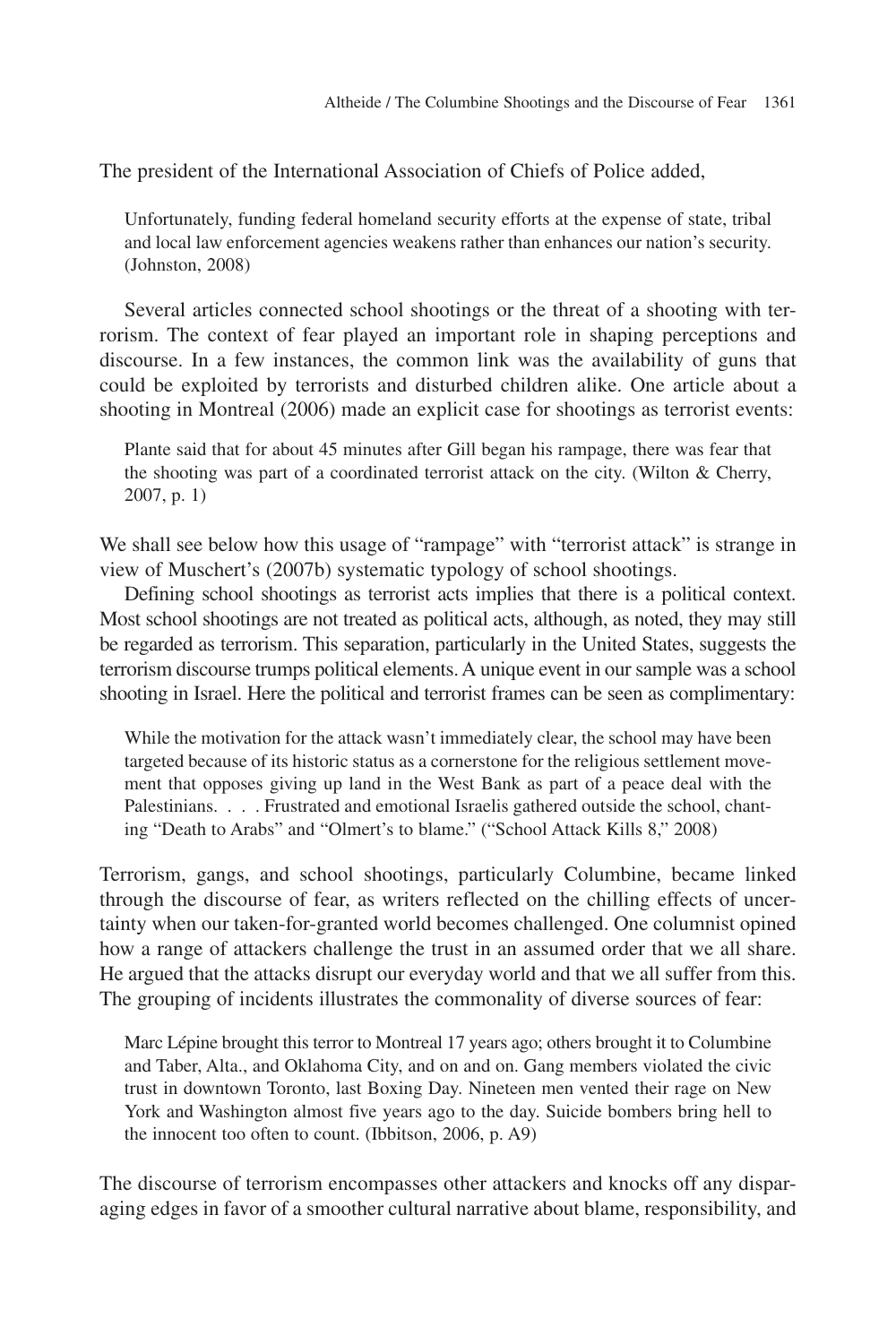The president of the International Association of Chiefs of Police added,

Unfortunately, funding federal homeland security efforts at the expense of state, tribal and local law enforcement agencies weakens rather than enhances our nation's security. (Johnston, 2008)

Several articles connected school shootings or the threat of a shooting with terrorism. The context of fear played an important role in shaping perceptions and discourse. In a few instances, the common link was the availability of guns that could be exploited by terrorists and disturbed children alike. One article about a shooting in Montreal (2006) made an explicit case for shootings as terrorist events:

Plante said that for about 45 minutes after Gill began his rampage, there was fear that the shooting was part of a coordinated terrorist attack on the city. (Wilton & Cherry, 2007, p. 1)

We shall see below how this usage of "rampage" with "terrorist attack" is strange in view of Muschert's (2007b) systematic typology of school shootings.

Defining school shootings as terrorist acts implies that there is a political context. Most school shootings are not treated as political acts, although, as noted, they may still be regarded as terrorism. This separation, particularly in the United States, suggests the terrorism discourse trumps political elements. A unique event in our sample was a school shooting in Israel. Here the political and terrorist frames can be seen as complimentary:

While the motivation for the attack wasn't immediately clear, the school may have been targeted because of its historic status as a cornerstone for the religious settlement movement that opposes giving up land in the West Bank as part of a peace deal with the Palestinians. . . . Frustrated and emotional Israelis gathered outside the school, chanting "Death to Arabs" and "Olmert's to blame." ("School Attack Kills 8," 2008)

Terrorism, gangs, and school shootings, particularly Columbine, became linked through the discourse of fear, as writers reflected on the chilling effects of uncertainty when our taken-for-granted world becomes challenged. One columnist opined how a range of attackers challenge the trust in an assumed order that we all share. He argued that the attacks disrupt our everyday world and that we all suffer from this. The grouping of incidents illustrates the commonality of diverse sources of fear:

Marc Lépine brought this terror to Montreal 17 years ago; others brought it to Columbine and Taber, Alta., and Oklahoma City, and on and on. Gang members violated the civic trust in downtown Toronto, last Boxing Day. Nineteen men vented their rage on New York and Washington almost five years ago to the day. Suicide bombers bring hell to the innocent too often to count. (Ibbitson, 2006, p. A9)

The discourse of terrorism encompasses other attackers and knocks off any disparaging edges in favor of a smoother cultural narrative about blame, responsibility, and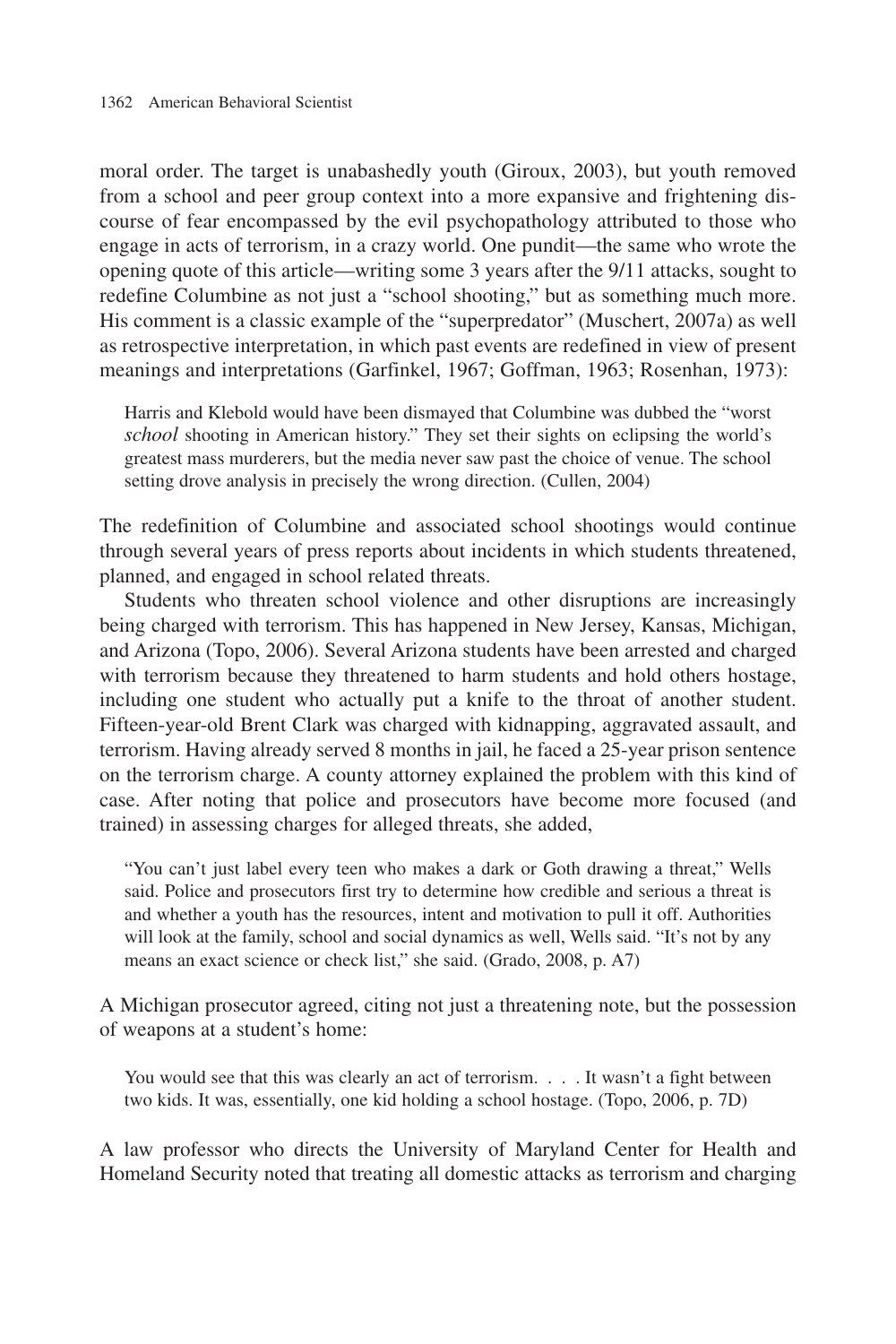moral order. The target is unabashedly youth (Giroux, 2003), but youth removed from a school and peer group context into a more expansive and frightening discourse of fear encompassed by the evil psychopathology attributed to those who engage in acts of terrorism, in a crazy world. One pundit—the same who wrote the opening quote of this article—writing some 3 years after the 9/11 attacks, sought to redefine Columbine as not just a "school shooting," but as something much more. His comment is a classic example of the "superpredator" (Muschert, 2007a) as well as retrospective interpretation, in which past events are redefined in view of present meanings and interpretations (Garfinkel, 1967; Goffman, 1963; Rosenhan, 1973):

Harris and Klebold would have been dismayed that Columbine was dubbed the "worst *school* shooting in American history." They set their sights on eclipsing the world's greatest mass murderers, but the media never saw past the choice of venue. The school setting drove analysis in precisely the wrong direction. (Cullen, 2004)

The redefinition of Columbine and associated school shootings would continue through several years of press reports about incidents in which students threatened, planned, and engaged in school related threats.

Students who threaten school violence and other disruptions are increasingly being charged with terrorism. This has happened in New Jersey, Kansas, Michigan, and Arizona (Topo, 2006). Several Arizona students have been arrested and charged with terrorism because they threatened to harm students and hold others hostage, including one student who actually put a knife to the throat of another student. Fifteen-year-old Brent Clark was charged with kidnapping, aggravated assault, and terrorism. Having already served 8 months in jail, he faced a 25-year prison sentence on the terrorism charge. A county attorney explained the problem with this kind of case. After noting that police and prosecutors have become more focused (and trained) in assessing charges for alleged threats, she added,

"You can't just label every teen who makes a dark or Goth drawing a threat," Wells said. Police and prosecutors first try to determine how credible and serious a threat is and whether a youth has the resources, intent and motivation to pull it off. Authorities will look at the family, school and social dynamics as well, Wells said. "It's not by any means an exact science or check list," she said. (Grado, 2008, p. A7)

A Michigan prosecutor agreed, citing not just a threatening note, but the possession of weapons at a student's home:

You would see that this was clearly an act of terrorism. . . . It wasn't a fight between two kids. It was, essentially, one kid holding a school hostage. (Topo, 2006, p. 7D)

A law professor who directs the University of Maryland Center for Health and Homeland Security noted that treating all domestic attacks as terrorism and charging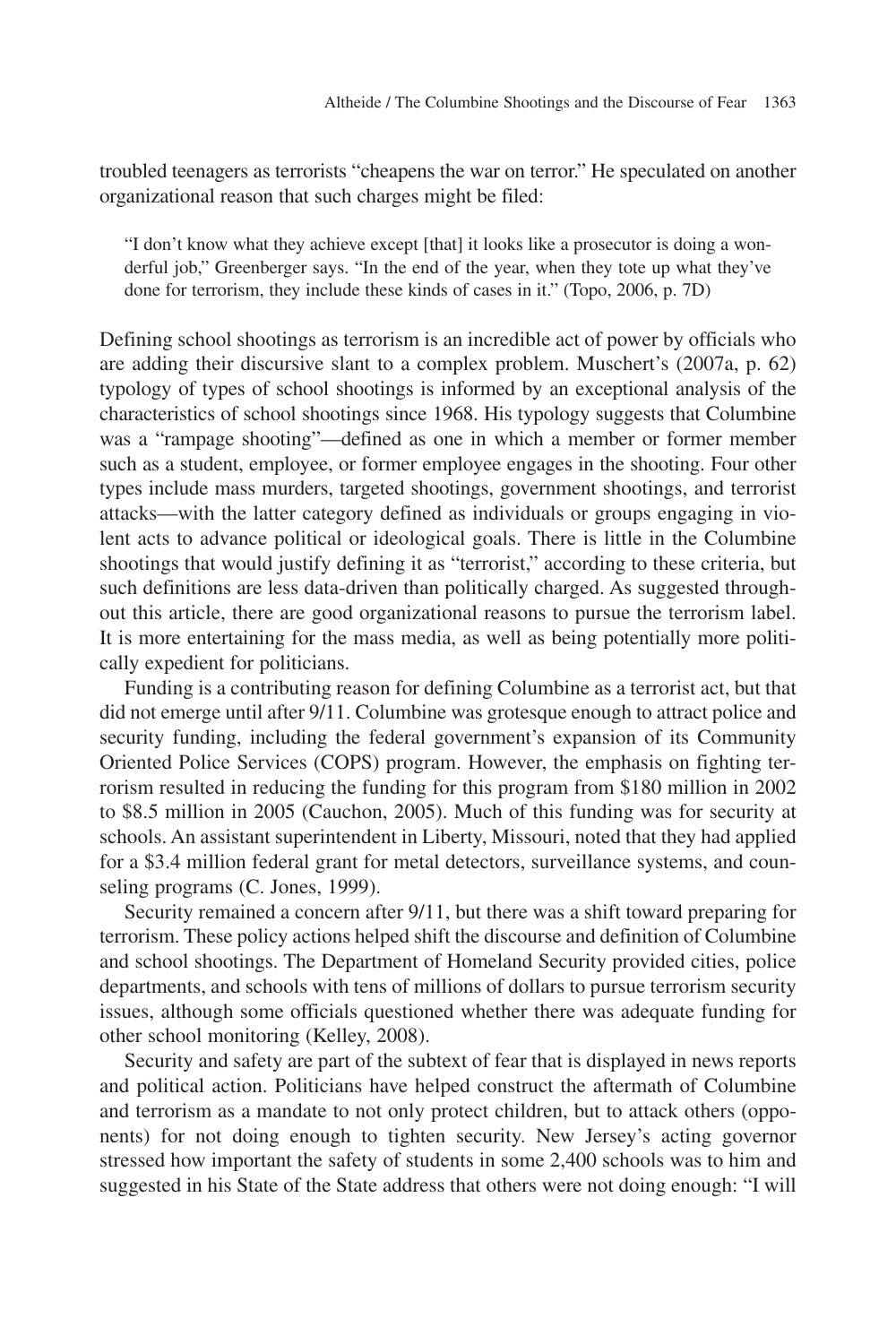troubled teenagers as terrorists "cheapens the war on terror." He speculated on another organizational reason that such charges might be filed:

"I don't know what they achieve except [that] it looks like a prosecutor is doing a wonderful job," Greenberger says. "In the end of the year, when they tote up what they've done for terrorism, they include these kinds of cases in it." (Topo, 2006, p. 7D)

Defining school shootings as terrorism is an incredible act of power by officials who are adding their discursive slant to a complex problem. Muschert's (2007a, p. 62) typology of types of school shootings is informed by an exceptional analysis of the characteristics of school shootings since 1968. His typology suggests that Columbine was a "rampage shooting"—defined as one in which a member or former member such as a student, employee, or former employee engages in the shooting. Four other types include mass murders, targeted shootings, government shootings, and terrorist attacks—with the latter category defined as individuals or groups engaging in violent acts to advance political or ideological goals. There is little in the Columbine shootings that would justify defining it as "terrorist," according to these criteria, but such definitions are less data-driven than politically charged. As suggested throughout this article, there are good organizational reasons to pursue the terrorism label. It is more entertaining for the mass media, as well as being potentially more politically expedient for politicians.

Funding is a contributing reason for defining Columbine as a terrorist act, but that did not emerge until after 9/11. Columbine was grotesque enough to attract police and security funding, including the federal government's expansion of its Community Oriented Police Services (COPS) program. However, the emphasis on fighting terrorism resulted in reducing the funding for this program from \$180 million in 2002 to \$8.5 million in 2005 (Cauchon, 2005). Much of this funding was for security at schools. An assistant superintendent in Liberty, Missouri, noted that they had applied for a \$3.4 million federal grant for metal detectors, surveillance systems, and counseling programs (C. Jones, 1999).

Security remained a concern after 9/11, but there was a shift toward preparing for terrorism. These policy actions helped shift the discourse and definition of Columbine and school shootings. The Department of Homeland Security provided cities, police departments, and schools with tens of millions of dollars to pursue terrorism security issues, although some officials questioned whether there was adequate funding for other school monitoring (Kelley, 2008).

Security and safety are part of the subtext of fear that is displayed in news reports and political action. Politicians have helped construct the aftermath of Columbine and terrorism as a mandate to not only protect children, but to attack others (opponents) for not doing enough to tighten security. New Jersey's acting governor stressed how important the safety of students in some 2,400 schools was to him and suggested in his State of the State address that others were not doing enough: "I will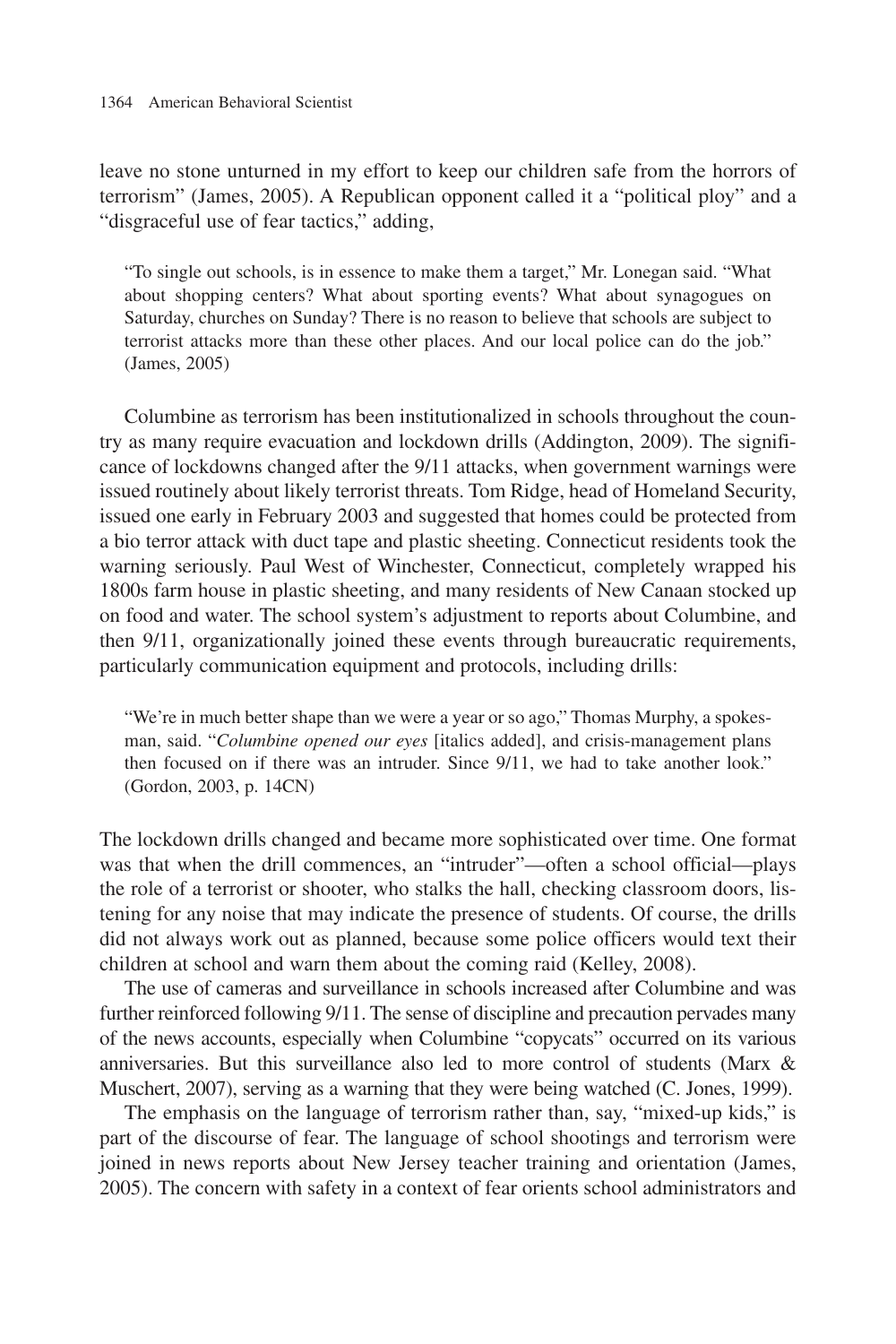leave no stone unturned in my effort to keep our children safe from the horrors of terrorism" (James, 2005). A Republican opponent called it a "political ploy" and a "disgraceful use of fear tactics," adding,

"To single out schools, is in essence to make them a target," Mr. Lonegan said. "What about shopping centers? What about sporting events? What about synagogues on Saturday, churches on Sunday? There is no reason to believe that schools are subject to terrorist attacks more than these other places. And our local police can do the job." (James, 2005)

Columbine as terrorism has been institutionalized in schools throughout the country as many require evacuation and lockdown drills (Addington, 2009). The significance of lockdowns changed after the 9/11 attacks, when government warnings were issued routinely about likely terrorist threats. Tom Ridge, head of Homeland Security, issued one early in February 2003 and suggested that homes could be protected from a bio terror attack with duct tape and plastic sheeting. Connecticut residents took the warning seriously. Paul West of Winchester, Connecticut, completely wrapped his 1800s farm house in plastic sheeting, and many residents of New Canaan stocked up on food and water. The school system's adjustment to reports about Columbine, and then 9/11, organizationally joined these events through bureaucratic requirements, particularly communication equipment and protocols, including drills:

"We're in much better shape than we were a year or so ago," Thomas Murphy, a spokesman, said. "*Columbine opened our eyes* [italics added], and crisis-management plans then focused on if there was an intruder. Since 9/11, we had to take another look." (Gordon, 2003, p. 14CN)

The lockdown drills changed and became more sophisticated over time. One format was that when the drill commences, an "intruder"—often a school official—plays the role of a terrorist or shooter, who stalks the hall, checking classroom doors, listening for any noise that may indicate the presence of students. Of course, the drills did not always work out as planned, because some police officers would text their children at school and warn them about the coming raid (Kelley, 2008).

The use of cameras and surveillance in schools increased after Columbine and was further reinforced following 9/11. The sense of discipline and precaution pervades many of the news accounts, especially when Columbine "copycats" occurred on its various anniversaries. But this surveillance also led to more control of students (Marx & Muschert, 2007), serving as a warning that they were being watched (C. Jones, 1999).

The emphasis on the language of terrorism rather than, say, "mixed-up kids," is part of the discourse of fear. The language of school shootings and terrorism were joined in news reports about New Jersey teacher training and orientation (James, 2005). The concern with safety in a context of fear orients school administrators and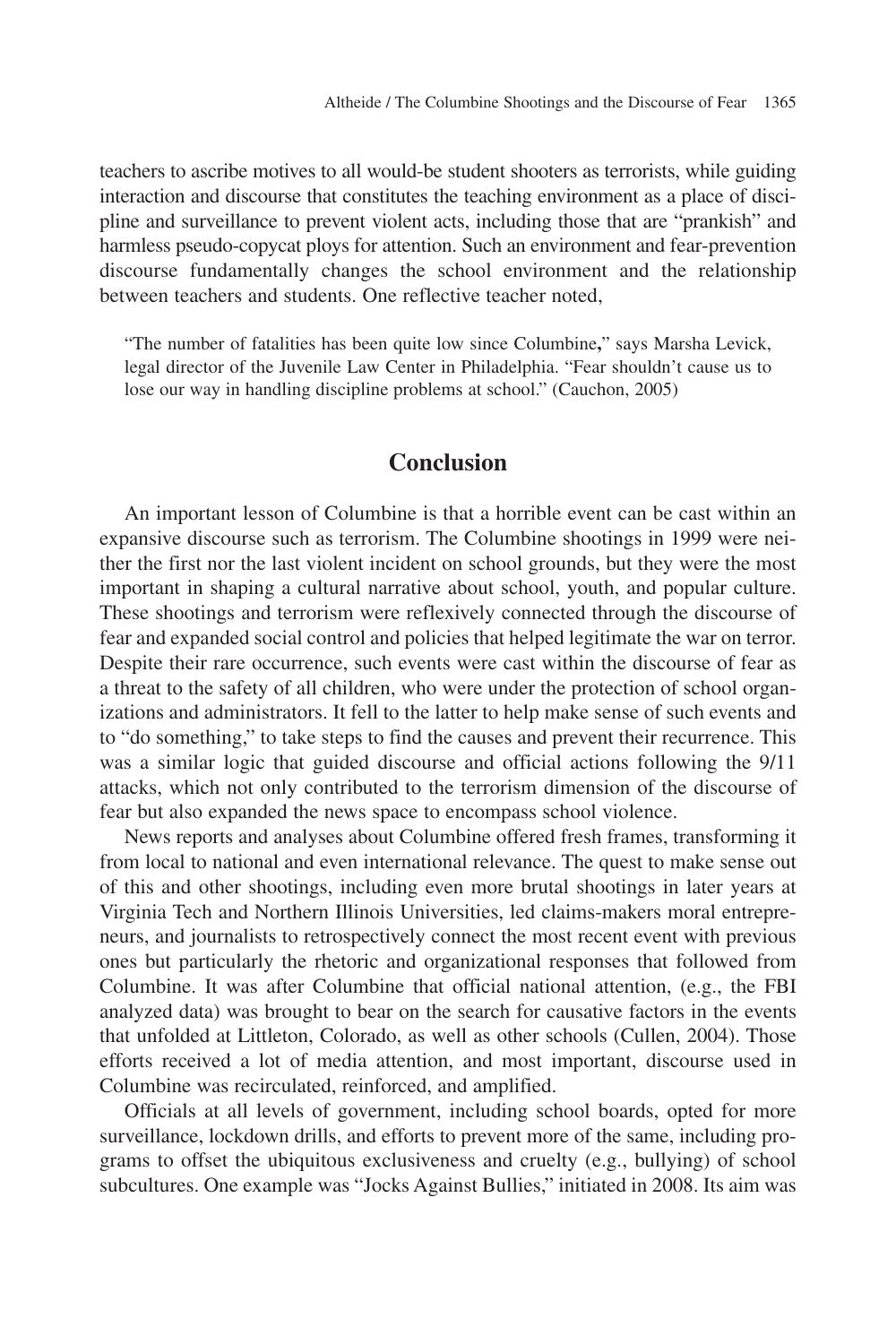teachers to ascribe motives to all would-be student shooters as terrorists, while guiding interaction and discourse that constitutes the teaching environment as a place of discipline and surveillance to prevent violent acts, including those that are "prankish" and harmless pseudo-copycat ploys for attention. Such an environment and fear-prevention discourse fundamentally changes the school environment and the relationship between teachers and students. One reflective teacher noted,

"The number of fatalities has been quite low since Columbine**,**" says Marsha Levick, legal director of the Juvenile Law Center in Philadelphia. "Fear shouldn't cause us to lose our way in handling discipline problems at school." (Cauchon, 2005)

# **Conclusion**

An important lesson of Columbine is that a horrible event can be cast within an expansive discourse such as terrorism. The Columbine shootings in 1999 were neither the first nor the last violent incident on school grounds, but they were the most important in shaping a cultural narrative about school, youth, and popular culture. These shootings and terrorism were reflexively connected through the discourse of fear and expanded social control and policies that helped legitimate the war on terror. Despite their rare occurrence, such events were cast within the discourse of fear as a threat to the safety of all children, who were under the protection of school organizations and administrators. It fell to the latter to help make sense of such events and to "do something," to take steps to find the causes and prevent their recurrence. This was a similar logic that guided discourse and official actions following the 9/11 attacks, which not only contributed to the terrorism dimension of the discourse of fear but also expanded the news space to encompass school violence.

News reports and analyses about Columbine offered fresh frames, transforming it from local to national and even international relevance. The quest to make sense out of this and other shootings, including even more brutal shootings in later years at Virginia Tech and Northern Illinois Universities, led claims-makers moral entrepreneurs, and journalists to retrospectively connect the most recent event with previous ones but particularly the rhetoric and organizational responses that followed from Columbine. It was after Columbine that official national attention, (e.g., the FBI analyzed data) was brought to bear on the search for causative factors in the events that unfolded at Littleton, Colorado, as well as other schools (Cullen, 2004). Those efforts received a lot of media attention, and most important, discourse used in Columbine was recirculated, reinforced, and amplified.

Officials at all levels of government, including school boards, opted for more surveillance, lockdown drills, and efforts to prevent more of the same, including programs to offset the ubiquitous exclusiveness and cruelty (e.g., bullying) of school subcultures. One example was "Jocks Against Bullies," initiated in 2008. Its aim was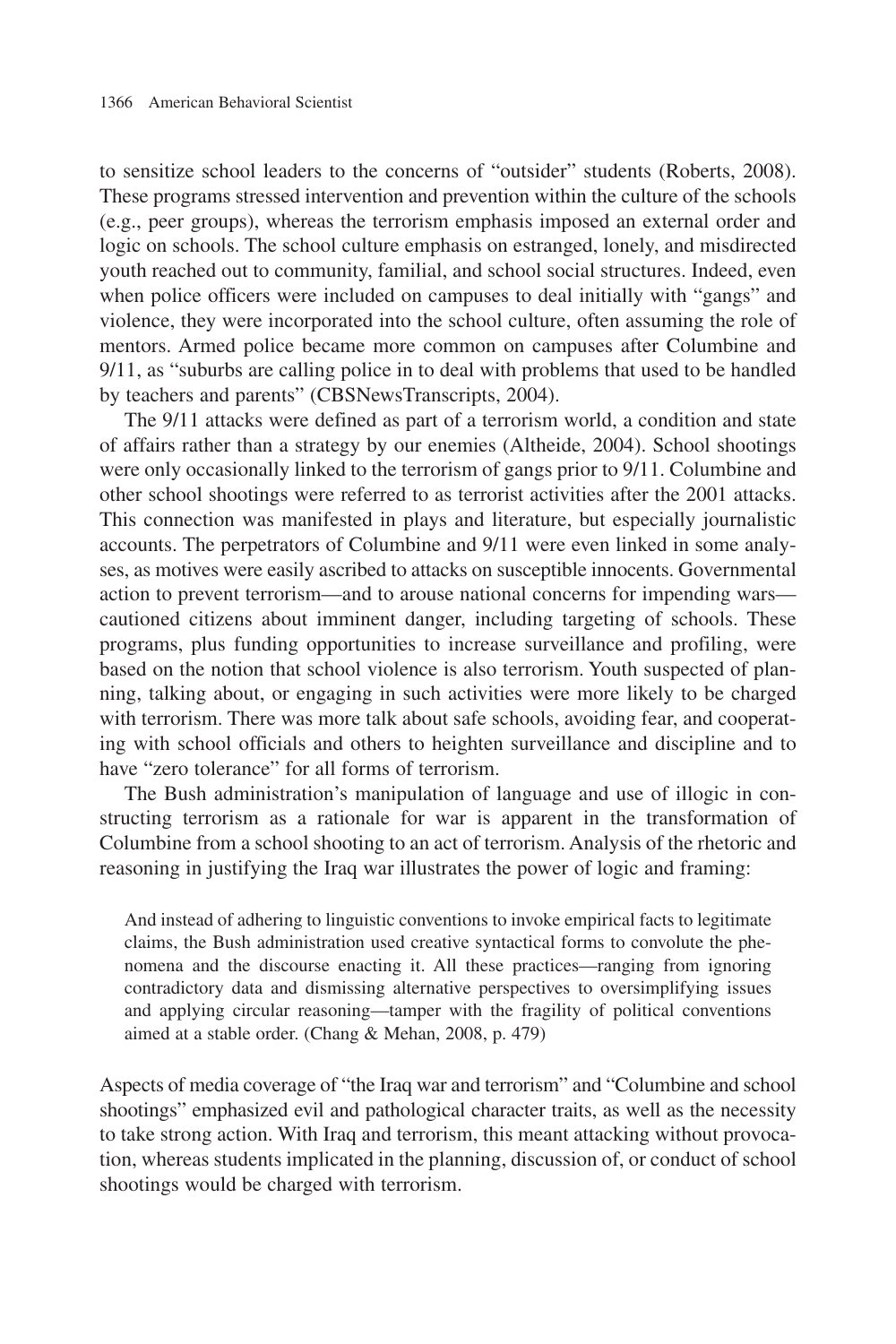to sensitize school leaders to the concerns of "outsider" students (Roberts, 2008). These programs stressed intervention and prevention within the culture of the schools (e.g., peer groups), whereas the terrorism emphasis imposed an external order and logic on schools. The school culture emphasis on estranged, lonely, and misdirected youth reached out to community, familial, and school social structures. Indeed, even when police officers were included on campuses to deal initially with "gangs" and violence, they were incorporated into the school culture, often assuming the role of mentors. Armed police became more common on campuses after Columbine and 9/11, as "suburbs are calling police in to deal with problems that used to be handled by teachers and parents" (CBSNewsTranscripts, 2004).

The 9/11 attacks were defined as part of a terrorism world, a condition and state of affairs rather than a strategy by our enemies (Altheide, 2004). School shootings were only occasionally linked to the terrorism of gangs prior to 9/11. Columbine and other school shootings were referred to as terrorist activities after the 2001 attacks. This connection was manifested in plays and literature, but especially journalistic accounts. The perpetrators of Columbine and 9/11 were even linked in some analyses, as motives were easily ascribed to attacks on susceptible innocents. Governmental action to prevent terrorism—and to arouse national concerns for impending wars cautioned citizens about imminent danger, including targeting of schools. These programs, plus funding opportunities to increase surveillance and profiling, were based on the notion that school violence is also terrorism. Youth suspected of planning, talking about, or engaging in such activities were more likely to be charged with terrorism. There was more talk about safe schools, avoiding fear, and cooperating with school officials and others to heighten surveillance and discipline and to have "zero tolerance" for all forms of terrorism.

The Bush administration's manipulation of language and use of illogic in constructing terrorism as a rationale for war is apparent in the transformation of Columbine from a school shooting to an act of terrorism. Analysis of the rhetoric and reasoning in justifying the Iraq war illustrates the power of logic and framing:

And instead of adhering to linguistic conventions to invoke empirical facts to legitimate claims, the Bush administration used creative syntactical forms to convolute the phenomena and the discourse enacting it. All these practices—ranging from ignoring contradictory data and dismissing alternative perspectives to oversimplifying issues and applying circular reasoning—tamper with the fragility of political conventions aimed at a stable order. (Chang & Mehan, 2008, p. 479)

Aspects of media coverage of "the Iraq war and terrorism" and "Columbine and school shootings" emphasized evil and pathological character traits, as well as the necessity to take strong action. With Iraq and terrorism, this meant attacking without provocation, whereas students implicated in the planning, discussion of, or conduct of school shootings would be charged with terrorism.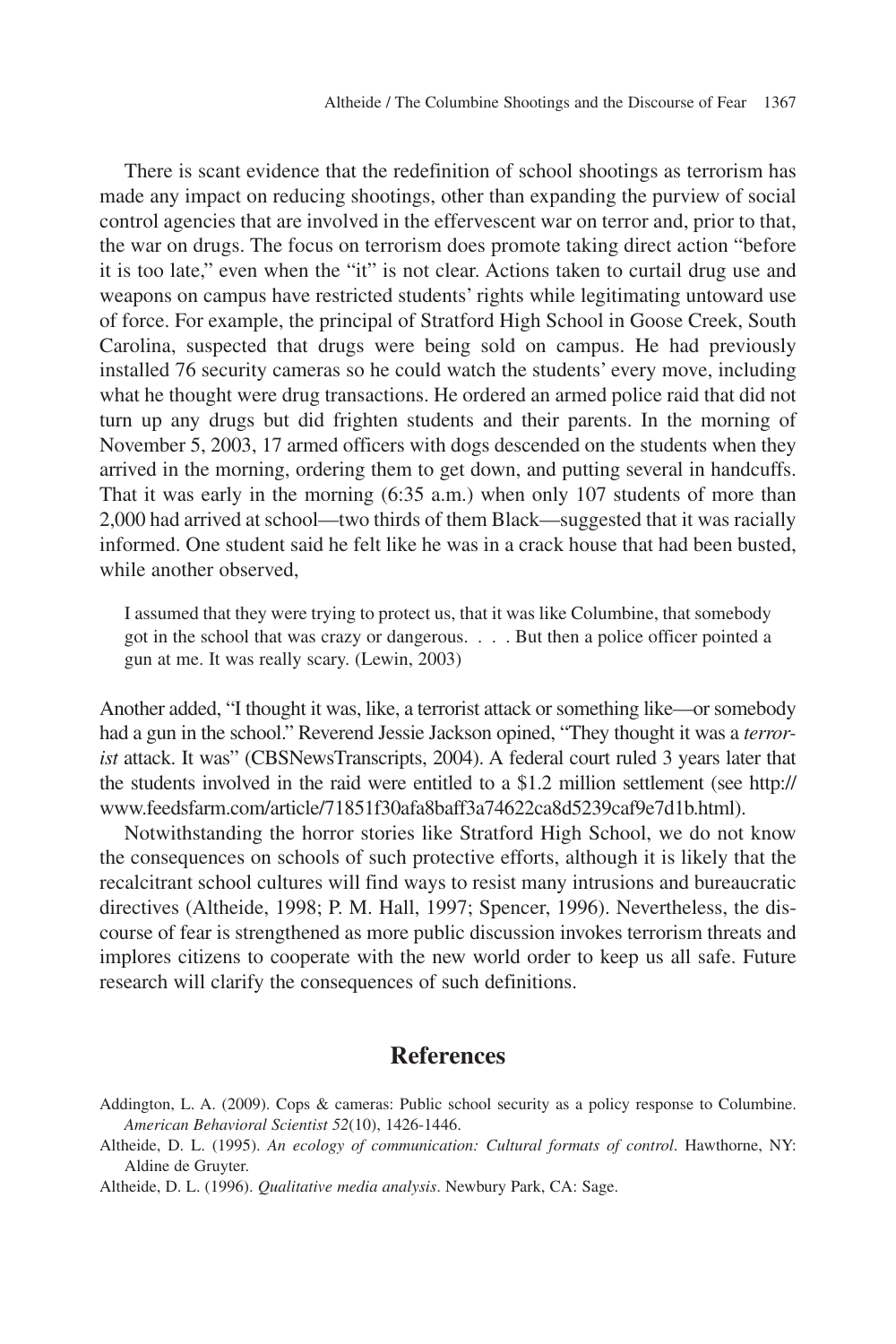There is scant evidence that the redefinition of school shootings as terrorism has made any impact on reducing shootings, other than expanding the purview of social control agencies that are involved in the effervescent war on terror and, prior to that, the war on drugs. The focus on terrorism does promote taking direct action "before it is too late," even when the "it" is not clear. Actions taken to curtail drug use and weapons on campus have restricted students' rights while legitimating untoward use of force. For example, the principal of Stratford High School in Goose Creek, South Carolina, suspected that drugs were being sold on campus. He had previously installed 76 security cameras so he could watch the students' every move, including what he thought were drug transactions. He ordered an armed police raid that did not turn up any drugs but did frighten students and their parents. In the morning of November 5, 2003, 17 armed officers with dogs descended on the students when they arrived in the morning, ordering them to get down, and putting several in handcuffs. That it was early in the morning (6:35 a.m.) when only 107 students of more than 2,000 had arrived at school—two thirds of them Black—suggested that it was racially informed. One student said he felt like he was in a crack house that had been busted, while another observed,

I assumed that they were trying to protect us, that it was like Columbine, that somebody got in the school that was crazy or dangerous. . . . But then a police officer pointed a gun at me. It was really scary. (Lewin, 2003)

Another added, "I thought it was, like, a terrorist attack or something like—or somebody had a gun in the school." Reverend Jessie Jackson opined, "They thought it was a *terrorist* attack. It was" (CBSNewsTranscripts, 2004). A federal court ruled 3 years later that the students involved in the raid were entitled to a \$1.2 million settlement (see http:// www.feedsfarm.com/article/71851f30afa8baff3a74622ca8d5239caf9e7d1b.html).

Notwithstanding the horror stories like Stratford High School, we do not know the consequences on schools of such protective efforts, although it is likely that the recalcitrant school cultures will find ways to resist many intrusions and bureaucratic directives (Altheide, 1998; P. M. Hall, 1997; Spencer, 1996). Nevertheless, the discourse of fear is strengthened as more public discussion invokes terrorism threats and implores citizens to cooperate with the new world order to keep us all safe. Future research will clarify the consequences of such definitions.

## **References**

- Addington, L. A. (2009). Cops & cameras: Public school security as a policy response to Columbine. *American Behavioral Scientist 52*(10), 1426-1446.
- Altheide, D. L. (1995). *An ecology of communication: Cultural formats of control*. Hawthorne, NY: Aldine de Gruyter.
- Altheide, D. L. (1996). *Qualitative media analysis*. Newbury Park, CA: Sage.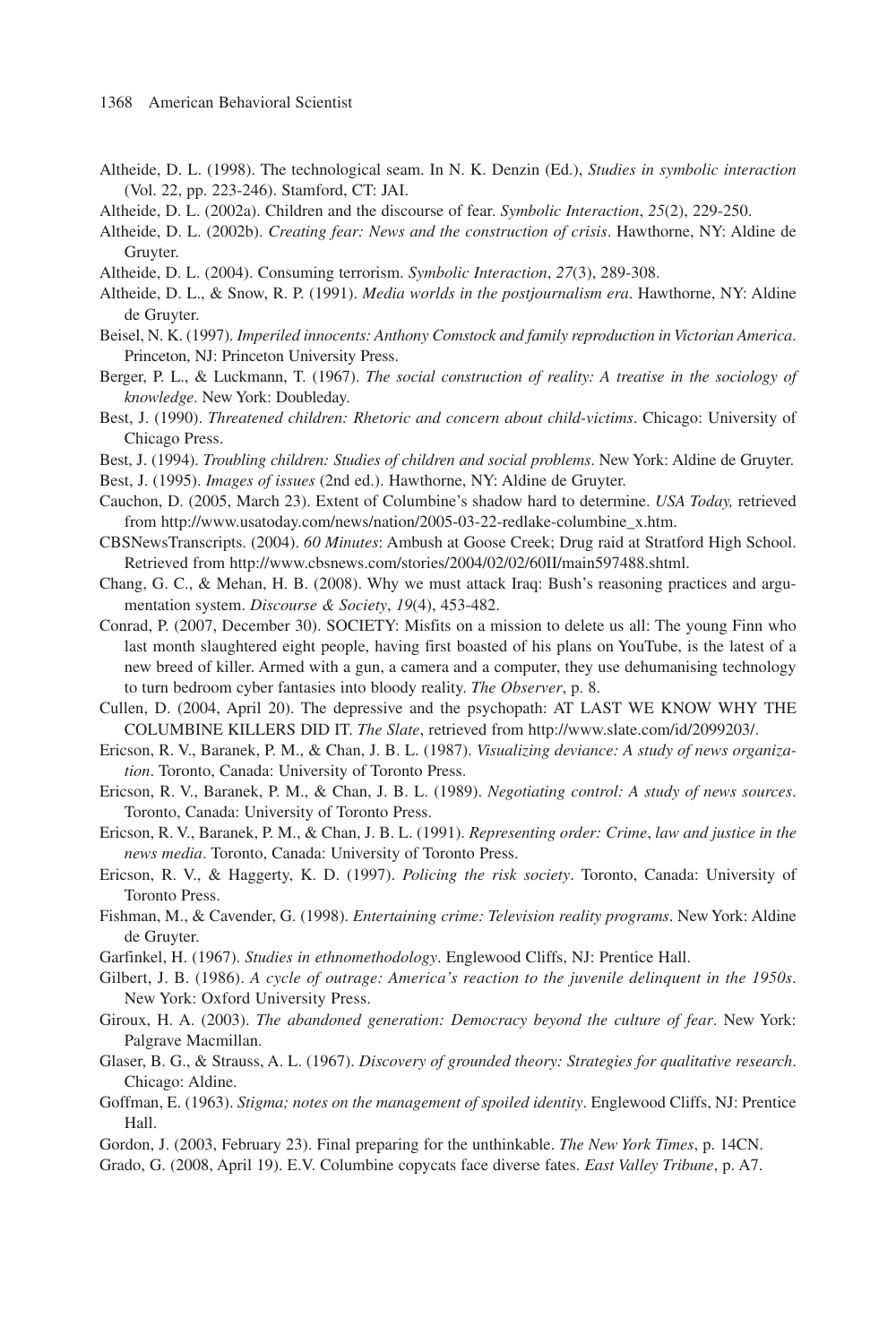- Altheide, D. L. (1998). The technological seam. In N. K. Denzin (Ed.), *Studies in symbolic interaction* (Vol. 22, pp. 223-246). Stamford, CT: JAI.
- Altheide, D. L. (2002a). Children and the discourse of fear. *Symbolic Interaction*, *25*(2), 229-250.
- Altheide, D. L. (2002b). *Creating fear: News and the construction of crisis*. Hawthorne, NY: Aldine de Gruyter.
- Altheide, D. L. (2004). Consuming terrorism. *Symbolic Interaction*, *27*(3), 289-308.
- Altheide, D. L., & Snow, R. P. (1991). *Media worlds in the postjournalism era*. Hawthorne, NY: Aldine de Gruyter.
- Beisel, N. K. (1997). *Imperiled innocents: Anthony Comstock and family reproduction in Victorian America*. Princeton, NJ: Princeton University Press.
- Berger, P. L., & Luckmann, T. (1967). *The social construction of reality: A treatise in the sociology of knowledge*. New York: Doubleday.
- Best, J. (1990). *Threatened children: Rhetoric and concern about child-victims*. Chicago: University of Chicago Press.
- Best, J. (1994). *Troubling children: Studies of children and social problems*. New York: Aldine de Gruyter.
- Best, J. (1995). *Images of issues* (2nd ed.). Hawthorne, NY: Aldine de Gruyter.
- Cauchon, D. (2005, March 23). Extent of Columbine's shadow hard to determine. *USA Today,* retrieved from http://www.usatoday.com/news/nation/2005-03-22-redlake-columbine\_x.htm.
- CBSNewsTranscripts. (2004). *60 Minutes*: Ambush at Goose Creek; Drug raid at Stratford High School. Retrieved from http://www.cbsnews.com/stories/2004/02/02/60II/main597488.shtml.
- Chang, G. C., & Mehan, H. B. (2008). Why we must attack Iraq: Bush's reasoning practices and argumentation system. *Discourse & Society*, *19*(4), 453-482.
- Conrad, P. (2007, December 30). SOCIETY: Misfits on a mission to delete us all: The young Finn who last month slaughtered eight people, having first boasted of his plans on YouTube, is the latest of a new breed of killer. Armed with a gun, a camera and a computer, they use dehumanising technology to turn bedroom cyber fantasies into bloody reality. *The Observer*, p. 8.
- Cullen, D. (2004, April 20). The depressive and the psychopath: AT LAST WE KNOW WHY THE COLUMBINE KILLERS DID IT. *The Slate*, retrieved from http://www.slate.com/id/2099203/.
- Ericson, R. V., Baranek, P. M., & Chan, J. B. L. (1987). *Visualizing deviance: A study of news organization*. Toronto, Canada: University of Toronto Press.
- Ericson, R. V., Baranek, P. M., & Chan, J. B. L. (1989). *Negotiating control: A study of news sources*. Toronto, Canada: University of Toronto Press.
- Ericson, R. V., Baranek, P. M., & Chan, J. B. L. (1991). *Representing order: Crime*, *law and justice in the news media*. Toronto, Canada: University of Toronto Press.
- Ericson, R. V., & Haggerty, K. D. (1997). *Policing the risk society*. Toronto, Canada: University of Toronto Press.
- Fishman, M., & Cavender, G. (1998). *Entertaining crime: Television reality programs*. New York: Aldine de Gruyter.
- Garfinkel, H. (1967). *Studies in ethnomethodology*. Englewood Cliffs, NJ: Prentice Hall.
- Gilbert, J. B. (1986). *A cycle of outrage: America's reaction to the juvenile delinquent in the 1950s*. New York: Oxford University Press.
- Giroux, H. A. (2003). *The abandoned generation: Democracy beyond the culture of fear*. New York: Palgrave Macmillan.
- Glaser, B. G., & Strauss, A. L. (1967). *Discovery of grounded theory: Strategies for qualitative research*. Chicago: Aldine.
- Goffman, E. (1963). *Stigma; notes on the management of spoiled identity*. Englewood Cliffs, NJ: Prentice Hall.
- Gordon, J. (2003, February 23). Final preparing for the unthinkable. *The New York Times*, p. 14CN.
- Grado, G. (2008, April 19). E.V. Columbine copycats face diverse fates. *East Valley Tribune*, p. A7.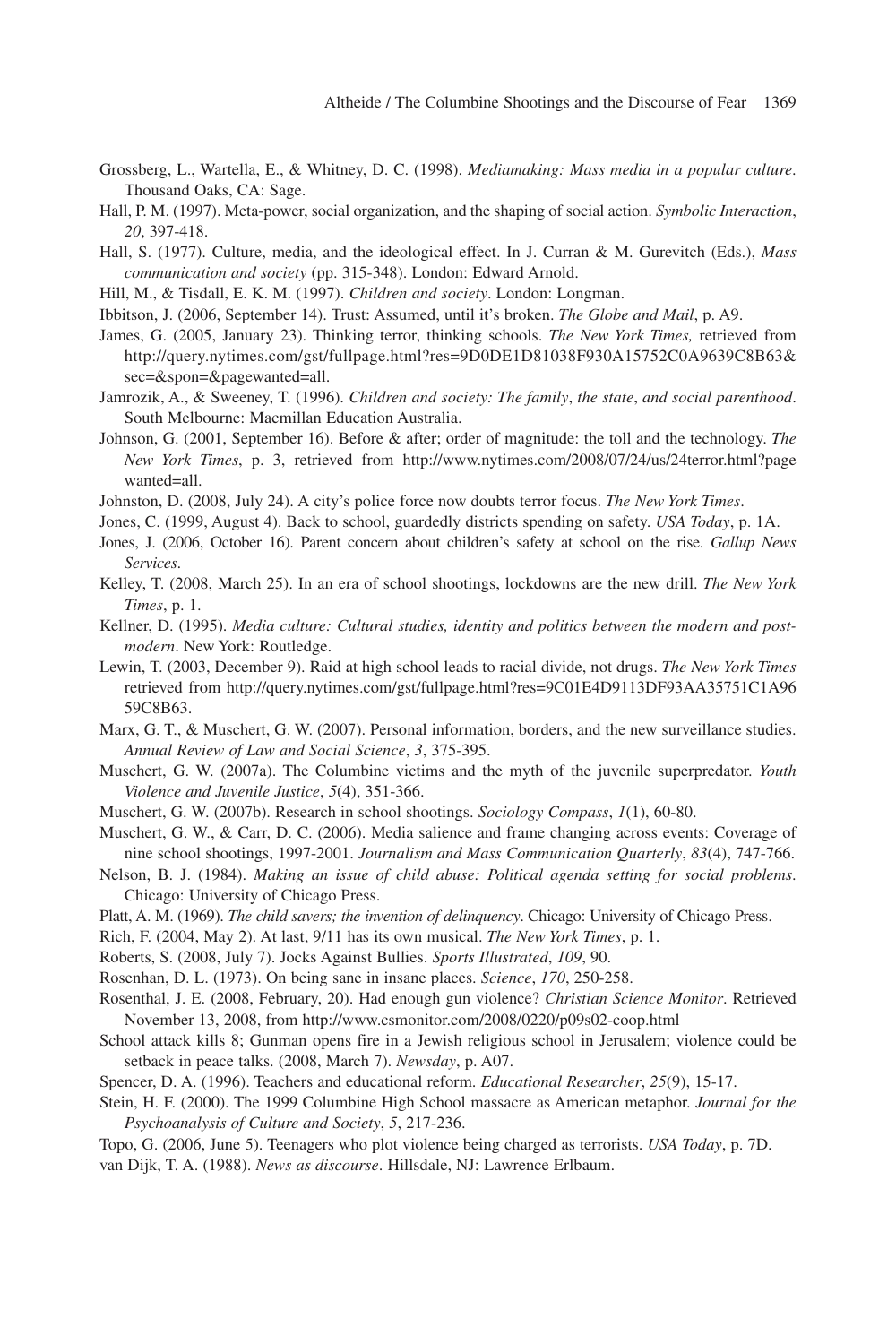- Grossberg, L., Wartella, E., & Whitney, D. C. (1998). *Mediamaking: Mass media in a popular culture*. Thousand Oaks, CA: Sage.
- Hall, P. M. (1997). Meta-power, social organization, and the shaping of social action. *Symbolic Interaction*, *20*, 397-418.
- Hall, S. (1977). Culture, media, and the ideological effect. In J. Curran & M. Gurevitch (Eds.), *Mass communication and society* (pp. 315-348). London: Edward Arnold.
- Hill, M., & Tisdall, E. K. M. (1997). *Children and society*. London: Longman.
- Ibbitson, J. (2006, September 14). Trust: Assumed, until it's broken. *The Globe and Mail*, p. A9.
- James, G. (2005, January 23). Thinking terror, thinking schools. *The New York Times,* retrieved from http://query.nytimes.com/gst/fullpage.html?res=9D0DE1D81038F930A15752C0A9639C8B63& sec=&spon=&pagewanted=all.
- Jamrozik, A., & Sweeney, T. (1996). *Children and society: The family*, *the state*, *and social parenthood*. South Melbourne: Macmillan Education Australia.
- Johnson, G. (2001, September 16). Before & after; order of magnitude: the toll and the technology. *The New York Times*, p. 3, retrieved from http://www.nytimes.com/2008/07/24/us/24terror.html?page wanted=all.
- Johnston, D. (2008, July 24). A city's police force now doubts terror focus. *The New York Times*.
- Jones, C. (1999, August 4). Back to school, guardedly districts spending on safety. *USA Today*, p. 1A.
- Jones, J. (2006, October 16). Parent concern about children's safety at school on the rise. *Gallup News Services*.
- Kelley, T. (2008, March 25). In an era of school shootings, lockdowns are the new drill. *The New York Times*, p. 1.
- Kellner, D. (1995). *Media culture: Cultural studies, identity and politics between the modern and postmodern*. New York: Routledge.
- Lewin, T. (2003, December 9). Raid at high school leads to racial divide, not drugs. *The New York Times*  retrieved from http://query.nytimes.com/gst/fullpage.html?res=9C01E4D9113DF93AA35751C1A96 59C8B63.
- Marx, G. T., & Muschert, G. W. (2007). Personal information, borders, and the new surveillance studies. *Annual Review of Law and Social Science*, *3*, 375-395.
- Muschert, G. W. (2007a). The Columbine victims and the myth of the juvenile superpredator. *Youth Violence and Juvenile Justice*, *5*(4), 351-366.
- Muschert, G. W. (2007b). Research in school shootings. *Sociology Compass*, *1*(1), 60-80.
- Muschert, G. W., & Carr, D. C. (2006). Media salience and frame changing across events: Coverage of nine school shootings, 1997-2001. *Journalism and Mass Communication Quarterly*, *83*(4), 747-766.
- Nelson, B. J. (1984). *Making an issue of child abuse: Political agenda setting for social problems*. Chicago: University of Chicago Press.
- Platt, A. M. (1969). *The child savers; the invention of delinquency*. Chicago: University of Chicago Press.
- Rich, F. (2004, May 2). At last, 9/11 has its own musical. *The New York Times*, p. 1.
- Roberts, S. (2008, July 7). Jocks Against Bullies. *Sports Illustrated*, *109*, 90.
- Rosenhan, D. L. (1973). On being sane in insane places. *Science*, *170*, 250-258.
- Rosenthal, J. E. (2008, February, 20). Had enough gun violence? *Christian Science Monitor*. Retrieved November 13, 2008, from http://www.csmonitor.com/2008/0220/p09s02-coop.html
- School attack kills 8; Gunman opens fire in a Jewish religious school in Jerusalem; violence could be setback in peace talks. (2008, March 7). *Newsday*, p. A07.
- Spencer, D. A. (1996). Teachers and educational reform. *Educational Researcher*, *25*(9), 15-17.
- Stein, H. F. (2000). The 1999 Columbine High School massacre as American metaphor. *Journal for the Psychoanalysis of Culture and Society*, *5*, 217-236.
- Topo, G. (2006, June 5). Teenagers who plot violence being charged as terrorists. *USA Today*, p. 7D. van Dijk, T. A. (1988). *News as discourse*. Hillsdale, NJ: Lawrence Erlbaum.